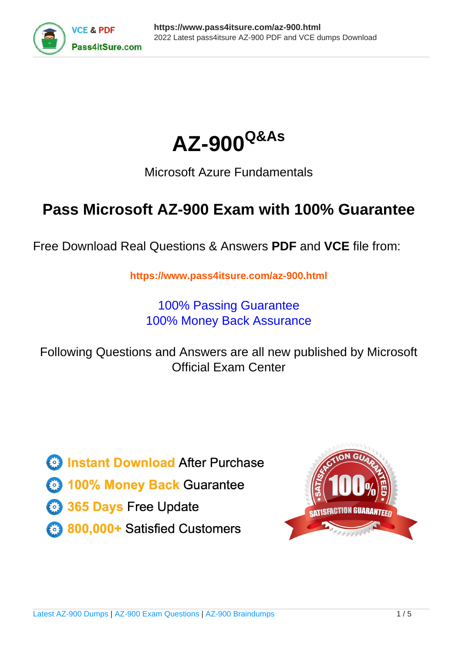



# Microsoft Azure Fundamentals

# **Pass Microsoft AZ-900 Exam with 100% Guarantee**

Free Download Real Questions & Answers **PDF** and **VCE** file from:

**https://www.pass4itsure.com/az-900.html**

100% Passing Guarantee 100% Money Back Assurance

Following Questions and Answers are all new published by Microsoft Official Exam Center

**C** Instant Download After Purchase

**83 100% Money Back Guarantee** 

- 365 Days Free Update
- 800,000+ Satisfied Customers  $603$

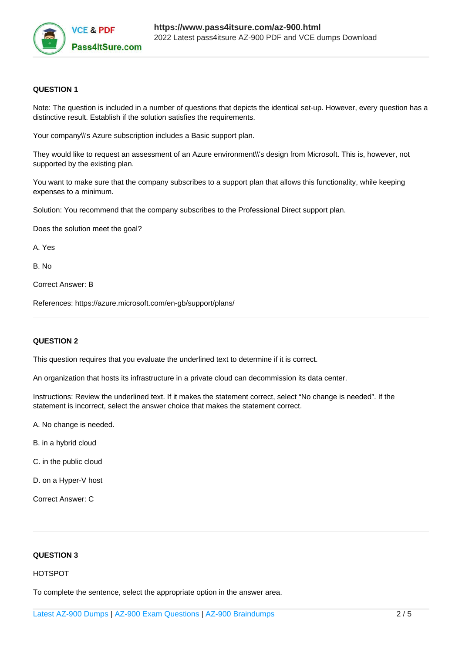

## **QUESTION 1**

Note: The question is included in a number of questions that depicts the identical set-up. However, every question has a distinctive result. Establish if the solution satisfies the requirements.

Your company\\'s Azure subscription includes a Basic support plan.

They would like to request an assessment of an Azure environment\\'s design from Microsoft. This is, however, not supported by the existing plan.

You want to make sure that the company subscribes to a support plan that allows this functionality, while keeping expenses to a minimum.

Solution: You recommend that the company subscribes to the Professional Direct support plan.

Does the solution meet the goal?

A. Yes

B. No

Correct Answer: B

References: https://azure.microsoft.com/en-gb/support/plans/

#### **QUESTION 2**

This question requires that you evaluate the underlined text to determine if it is correct.

An organization that hosts its infrastructure in a private cloud can decommission its data center.

Instructions: Review the underlined text. If it makes the statement correct, select "No change is needed". If the statement is incorrect, select the answer choice that makes the statement correct.

A. No change is needed.

- B. in a hybrid cloud
- C. in the public cloud
- D. on a Hyper-V host

Correct Answer: C

#### **QUESTION 3**

#### HOTSPOT

To complete the sentence, select the appropriate option in the answer area.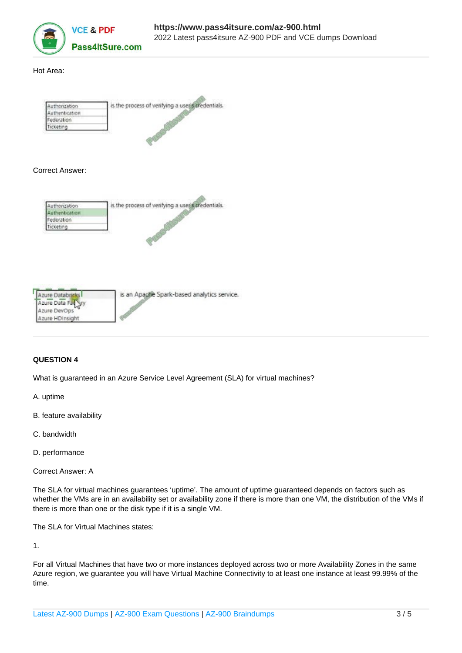

#### Hot Area:

| crization  | is the process of verifying a user's credentials. |
|------------|---------------------------------------------------|
| henbcation |                                                   |
| ederation  |                                                   |
|            |                                                   |

#### Correct Answer:





## **QUESTION 4**

What is guaranteed in an Azure Service Level Agreement (SLA) for virtual machines?

A. uptime

- B. feature availability
- C. bandwidth
- D. performance

Correct Answer: A

The SLA for virtual machines guarantees 'uptime'. The amount of uptime guaranteed depends on factors such as whether the VMs are in an availability set or availability zone if there is more than one VM, the distribution of the VMs if there is more than one or the disk type if it is a single VM.

The SLA for Virtual Machines states:

1.

For all Virtual Machines that have two or more instances deployed across two or more Availability Zones in the same Azure region, we guarantee you will have Virtual Machine Connectivity to at least one instance at least 99.99% of the time.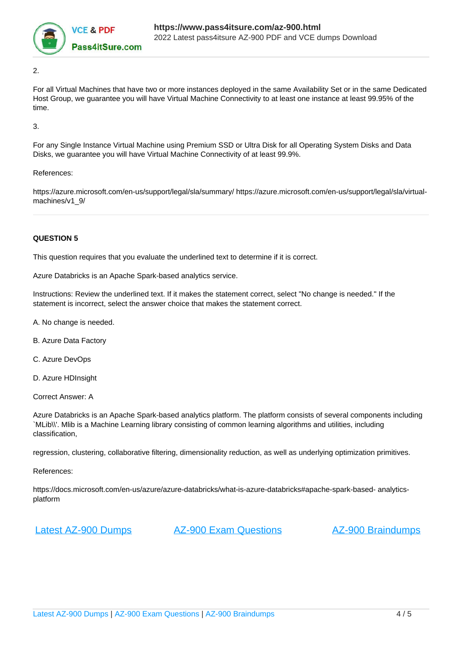

2.

For all Virtual Machines that have two or more instances deployed in the same Availability Set or in the same Dedicated Host Group, we guarantee you will have Virtual Machine Connectivity to at least one instance at least 99.95% of the time.

3.

For any Single Instance Virtual Machine using Premium SSD or Ultra Disk for all Operating System Disks and Data Disks, we guarantee you will have Virtual Machine Connectivity of at least 99.9%.

#### References:

https://azure.microsoft.com/en-us/support/legal/sla/summary/ https://azure.microsoft.com/en-us/support/legal/sla/virtualmachines/v1\_9/

## **QUESTION 5**

This question requires that you evaluate the underlined text to determine if it is correct.

Azure Databricks is an Apache Spark-based analytics service.

Instructions: Review the underlined text. If it makes the statement correct, select "No change is needed." If the statement is incorrect, select the answer choice that makes the statement correct.

A. No change is needed.

B. Azure Data Factory

C. Azure DevOps

D. Azure HDInsight

Correct Answer: A

Azure Databricks is an Apache Spark-based analytics platform. The platform consists of several components including `MLib\\'. Mlib is a Machine Learning library consisting of common learning algorithms and utilities, including classification,

regression, clustering, collaborative filtering, dimensionality reduction, as well as underlying optimization primitives.

References:

https://docs.microsoft.com/en-us/azure/azure-databricks/what-is-azure-databricks#apache-spark-based- analyticsplatform

[Latest AZ-900 Dumps](https://www.pass4itsure.com/az-900.html) [AZ-900 Exam Questions](https://www.pass4itsure.com/az-900.html) [AZ-900 Braindumps](https://www.pass4itsure.com/az-900.html)